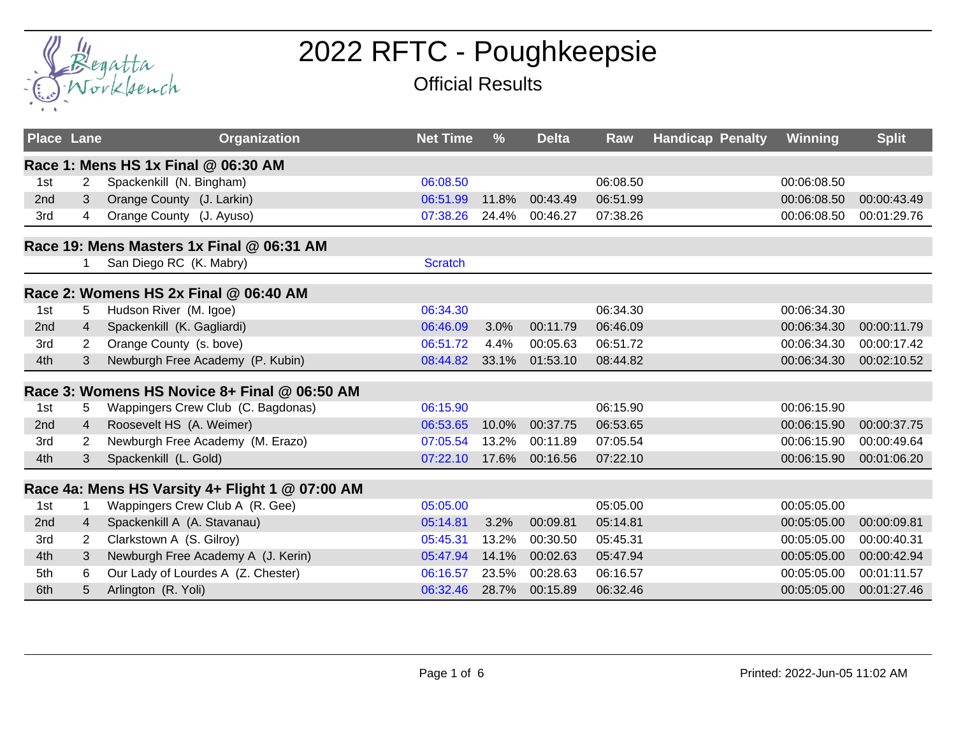

## 2022 RFTC - Poughkeepsie

## Official Results

| <b>Place Lane</b> |                | <b>Organization</b>                             | <b>Net Time</b> | $\frac{9}{6}$ | <b>Delta</b> | Raw      | <b>Handicap Penalty</b> | Winning     | <b>Split</b> |
|-------------------|----------------|-------------------------------------------------|-----------------|---------------|--------------|----------|-------------------------|-------------|--------------|
|                   |                | Race 1: Mens HS 1x Final @ 06:30 AM             |                 |               |              |          |                         |             |              |
| 1st               | 2              | Spackenkill (N. Bingham)                        | 06:08.50        |               |              | 06:08.50 |                         | 00:06:08.50 |              |
| 2 <sub>nd</sub>   | 3              | Orange County (J. Larkin)                       | 06:51.99        | 11.8%         | 00:43.49     | 06:51.99 |                         | 00:06:08.50 | 00:00:43.49  |
| 3rd               | 4              | Orange County (J. Ayuso)                        | 07:38.26        | 24.4%         | 00:46.27     | 07:38.26 |                         | 00:06:08.50 | 00:01:29.76  |
|                   |                | Race 19: Mens Masters 1x Final @ 06:31 AM       |                 |               |              |          |                         |             |              |
|                   | 1              | San Diego RC (K. Mabry)                         | <b>Scratch</b>  |               |              |          |                         |             |              |
|                   |                | Race 2: Womens HS 2x Final @ 06:40 AM           |                 |               |              |          |                         |             |              |
| 1st               | 5              | Hudson River (M. Igoe)                          | 06:34.30        |               |              | 06:34.30 |                         | 00:06:34.30 |              |
| 2nd               | $\overline{4}$ | Spackenkill (K. Gagliardi)                      | 06:46.09        | 3.0%          | 00:11.79     | 06:46.09 |                         | 00:06:34.30 | 00:00:11.79  |
| 3rd               | 2              | Orange County (s. bove)                         | 06:51.72        | 4.4%          | 00:05.63     | 06:51.72 |                         | 00:06:34.30 | 00:00:17.42  |
| 4th               | 3              | Newburgh Free Academy (P. Kubin)                | 08:44.82        | 33.1%         | 01:53.10     | 08:44.82 |                         | 00:06:34.30 | 00:02:10.52  |
|                   |                | Race 3: Womens HS Novice 8+ Final @ 06:50 AM    |                 |               |              |          |                         |             |              |
| 1st               | 5              | Wappingers Crew Club (C. Bagdonas)              | 06:15.90        |               |              | 06:15.90 |                         | 00:06:15.90 |              |
| 2nd               | $\overline{4}$ | Roosevelt HS (A. Weimer)                        | 06:53.65        | 10.0%         | 00:37.75     | 06:53.65 |                         | 00:06:15.90 | 00:00:37.75  |
| 3rd               | $\overline{2}$ | Newburgh Free Academy (M. Erazo)                | 07:05.54        | 13.2%         | 00:11.89     | 07:05.54 |                         | 00:06:15.90 | 00:00:49.64  |
| 4th               | 3              | Spackenkill (L. Gold)                           | 07:22.10        | 17.6%         | 00:16.56     | 07:22.10 |                         | 00:06:15.90 | 00:01:06.20  |
|                   |                | Race 4a: Mens HS Varsity 4+ Flight 1 @ 07:00 AM |                 |               |              |          |                         |             |              |
| 1st               |                | Wappingers Crew Club A (R. Gee)                 | 05:05.00        |               |              | 05:05.00 |                         | 00:05:05.00 |              |
| 2nd               | $\overline{4}$ | Spackenkill A (A. Stavanau)                     | 05:14.81        | 3.2%          | 00:09.81     | 05:14.81 |                         | 00:05:05.00 | 00:00:09.81  |
| 3rd               | 2              | Clarkstown A (S. Gilroy)                        | 05:45.31        | 13.2%         | 00:30.50     | 05:45.31 |                         | 00:05:05.00 | 00:00:40.31  |
| 4th               | 3              | Newburgh Free Academy A (J. Kerin)              | 05:47.94        | 14.1%         | 00:02.63     | 05:47.94 |                         | 00:05:05.00 | 00:00:42.94  |
| 5th               | 6              | Our Lady of Lourdes A (Z. Chester)              | 06:16.57        | 23.5%         | 00:28.63     | 06:16.57 |                         | 00:05:05.00 | 00:01:11.57  |
| 6th               | 5              | Arlington (R. Yoli)                             | 06:32.46        | 28.7%         | 00:15.89     | 06:32.46 |                         | 00:05:05.00 | 00:01:27.46  |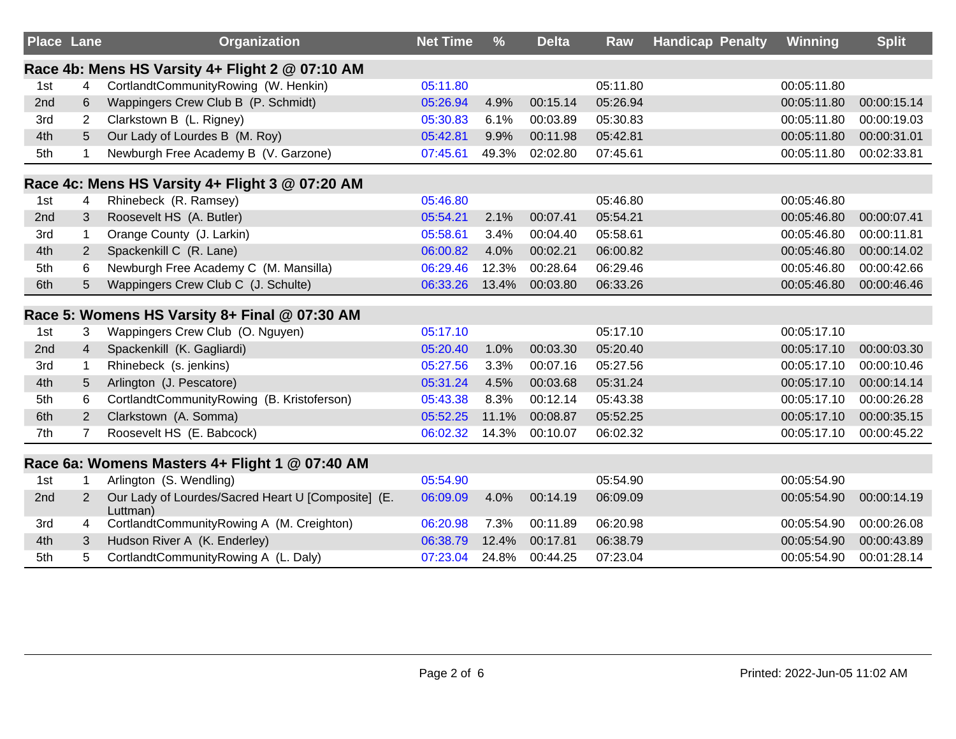| <b>Place Lane</b> |                | Organization                                                   | <b>Net Time</b> | $\frac{9}{6}$ | <b>Delta</b> | Raw      | <b>Handicap Penalty</b> | Winning     | <b>Split</b> |
|-------------------|----------------|----------------------------------------------------------------|-----------------|---------------|--------------|----------|-------------------------|-------------|--------------|
|                   |                | Race 4b: Mens HS Varsity 4+ Flight 2 @ 07:10 AM                |                 |               |              |          |                         |             |              |
| 1st               | 4              | CortlandtCommunityRowing (W. Henkin)                           | 05:11.80        |               |              | 05:11.80 |                         | 00:05:11.80 |              |
| 2nd               | 6              | Wappingers Crew Club B (P. Schmidt)                            | 05:26.94        | 4.9%          | 00:15.14     | 05:26.94 |                         | 00:05:11.80 | 00:00:15.14  |
| 3rd               | $\overline{2}$ | Clarkstown B (L. Rigney)                                       | 05:30.83        | 6.1%          | 00:03.89     | 05:30.83 |                         | 00:05:11.80 | 00:00:19.03  |
| 4th               | 5              | Our Lady of Lourdes B (M. Roy)                                 | 05:42.81        | 9.9%          | 00:11.98     | 05:42.81 |                         | 00:05:11.80 | 00:00:31.01  |
| 5th               |                | Newburgh Free Academy B (V. Garzone)                           | 07:45.61        | 49.3%         | 02:02.80     | 07:45.61 |                         | 00:05:11.80 | 00:02:33.81  |
|                   |                | Race 4c: Mens HS Varsity 4+ Flight 3 @ 07:20 AM                |                 |               |              |          |                         |             |              |
| 1st               | 4              | Rhinebeck (R. Ramsey)                                          | 05:46.80        |               |              | 05:46.80 |                         | 00:05:46.80 |              |
| 2nd               | 3              | Roosevelt HS (A. Butler)                                       | 05:54.21        | 2.1%          | 00:07.41     | 05:54.21 |                         | 00:05:46.80 | 00:00:07.41  |
| 3rd               | $\mathbf{1}$   | Orange County (J. Larkin)                                      | 05:58.61        | 3.4%          | 00:04.40     | 05:58.61 |                         | 00:05:46.80 | 00:00:11.81  |
| 4th               | $\overline{2}$ | Spackenkill C (R. Lane)                                        | 06:00.82        | 4.0%          | 00:02.21     | 06:00.82 |                         | 00:05:46.80 | 00:00:14.02  |
| 5th               | 6              | Newburgh Free Academy C (M. Mansilla)                          | 06:29.46        | 12.3%         | 00:28.64     | 06:29.46 |                         | 00:05:46.80 | 00:00:42.66  |
| 6th               | 5              | Wappingers Crew Club C (J. Schulte)                            | 06:33.26        | 13.4%         | 00:03.80     | 06:33.26 |                         | 00:05:46.80 | 00:00:46.46  |
|                   |                | Race 5: Womens HS Varsity 8+ Final @ 07:30 AM                  |                 |               |              |          |                         |             |              |
| 1st               | 3              | Wappingers Crew Club (O. Nguyen)                               | 05:17.10        |               |              | 05:17.10 |                         | 00:05:17.10 |              |
| 2nd               | $\overline{4}$ | Spackenkill (K. Gagliardi)                                     | 05:20.40        | 1.0%          | 00:03.30     | 05:20.40 |                         | 00:05:17.10 | 00:00:03.30  |
| 3rd               | $\mathbf 1$    | Rhinebeck (s. jenkins)                                         | 05:27.56        | 3.3%          | 00:07.16     | 05:27.56 |                         | 00:05:17.10 | 00:00:10.46  |
| 4th               | 5              | Arlington (J. Pescatore)                                       | 05:31.24        | 4.5%          | 00:03.68     | 05:31.24 |                         | 00:05:17.10 | 00:00:14.14  |
| 5th               | 6              | CortlandtCommunityRowing (B. Kristoferson)                     | 05:43.38        | 8.3%          | 00:12.14     | 05:43.38 |                         | 00:05:17.10 | 00:00:26.28  |
| 6th               | 2              | Clarkstown (A. Somma)                                          | 05:52.25        | 11.1%         | 00:08.87     | 05:52.25 |                         | 00:05:17.10 | 00:00:35.15  |
| 7th               | $\overline{7}$ | Roosevelt HS (E. Babcock)                                      | 06:02.32        | 14.3%         | 00:10.07     | 06:02.32 |                         | 00:05:17.10 | 00:00:45.22  |
|                   |                | Race 6a: Womens Masters 4+ Flight 1 @ 07:40 AM                 |                 |               |              |          |                         |             |              |
| 1st               |                | Arlington (S. Wendling)                                        | 05:54.90        |               |              | 05:54.90 |                         | 00:05:54.90 |              |
| 2nd               | $\overline{2}$ | Our Lady of Lourdes/Sacred Heart U [Composite] (E.<br>Luttman) | 06:09.09        | 4.0%          | 00:14.19     | 06:09.09 |                         | 00:05:54.90 | 00:00:14.19  |
| 3rd               | 4              | CortlandtCommunityRowing A (M. Creighton)                      | 06:20.98        | 7.3%          | 00:11.89     | 06:20.98 |                         | 00:05:54.90 | 00:00:26.08  |
| 4th               | 3              | Hudson River A (K. Enderley)                                   | 06:38.79        | 12.4%         | 00:17.81     | 06:38.79 |                         | 00:05:54.90 | 00:00:43.89  |
| 5th               | 5              | CortlandtCommunityRowing A (L. Daly)                           | 07:23.04        | 24.8%         | 00:44.25     | 07:23.04 |                         | 00:05:54.90 | 00:01:28.14  |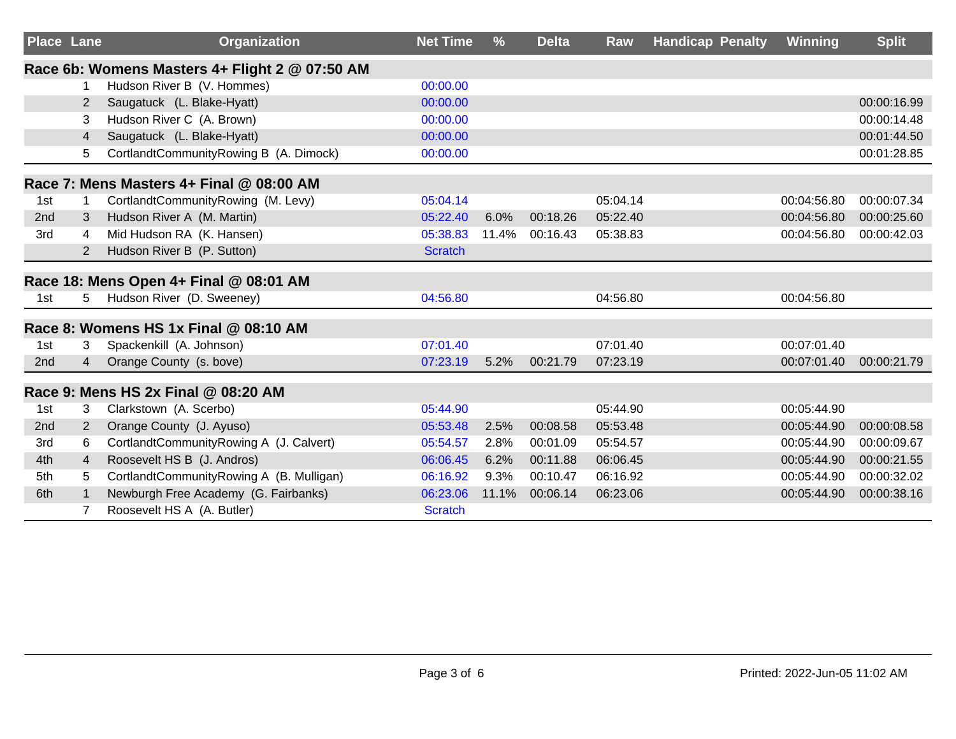| <b>Place Lane</b> |                | <b>Organization</b>                            | <b>Net Time</b> | $\frac{9}{6}$ | <b>Delta</b> | Raw      | <b>Handicap Penalty</b> | Winning     | <b>Split</b> |
|-------------------|----------------|------------------------------------------------|-----------------|---------------|--------------|----------|-------------------------|-------------|--------------|
|                   |                | Race 6b: Womens Masters 4+ Flight 2 @ 07:50 AM |                 |               |              |          |                         |             |              |
|                   | 1              | Hudson River B (V. Hommes)                     | 00:00.00        |               |              |          |                         |             |              |
|                   | $\overline{2}$ | Saugatuck (L. Blake-Hyatt)                     | 00:00.00        |               |              |          |                         |             | 00:00:16.99  |
|                   | 3              | Hudson River C (A. Brown)                      | 00:00.00        |               |              |          |                         |             | 00:00:14.48  |
|                   | 4              | Saugatuck (L. Blake-Hyatt)                     | 00:00.00        |               |              |          |                         |             | 00:01:44.50  |
|                   | 5              | CortlandtCommunityRowing B (A. Dimock)         | 00:00.00        |               |              |          |                         |             | 00:01:28.85  |
|                   |                | Race 7: Mens Masters 4+ Final @ 08:00 AM       |                 |               |              |          |                         |             |              |
| 1st               |                | CortlandtCommunityRowing (M. Levy)             | 05:04.14        |               |              | 05:04.14 |                         | 00:04:56.80 | 00:00:07.34  |
| 2nd               | 3              | Hudson River A (M. Martin)                     | 05:22.40        | 6.0%          | 00:18.26     | 05:22.40 |                         | 00:04:56.80 | 00:00:25.60  |
| 3rd               | 4              | Mid Hudson RA (K. Hansen)                      | 05:38.83        | 11.4%         | 00:16.43     | 05:38.83 |                         | 00:04:56.80 | 00:00:42.03  |
|                   | 2              | Hudson River B (P. Sutton)                     | <b>Scratch</b>  |               |              |          |                         |             |              |
|                   |                | Race 18: Mens Open 4+ Final @ 08:01 AM         |                 |               |              |          |                         |             |              |
| 1st               | 5.             | Hudson River (D. Sweeney)                      | 04:56.80        |               |              | 04:56.80 |                         | 00:04:56.80 |              |
|                   |                | Race 8: Womens HS 1x Final @ 08:10 AM          |                 |               |              |          |                         |             |              |
| 1st               | 3              | Spackenkill (A. Johnson)                       | 07:01.40        |               |              | 07:01.40 |                         | 00:07:01.40 |              |
| 2nd               | 4              | Orange County (s. bove)                        | 07:23.19        | 5.2%          | 00:21.79     | 07:23.19 |                         | 00:07:01.40 | 00:00:21.79  |
|                   |                | Race 9: Mens HS 2x Final @ 08:20 AM            |                 |               |              |          |                         |             |              |
| 1st               | 3              | Clarkstown (A. Scerbo)                         | 05:44.90        |               |              | 05:44.90 |                         | 00:05:44.90 |              |
| 2nd               | 2              | Orange County (J. Ayuso)                       | 05:53.48        | 2.5%          | 00:08.58     | 05:53.48 |                         | 00:05:44.90 | 00:00:08.58  |
| 3rd               | 6              | CortlandtCommunityRowing A (J. Calvert)        | 05:54.57        | 2.8%          | 00:01.09     | 05:54.57 |                         | 00:05:44.90 | 00:00:09.67  |
| 4th               | 4              | Roosevelt HS B (J. Andros)                     | 06:06.45        | 6.2%          | 00:11.88     | 06:06.45 |                         | 00:05:44.90 | 00:00:21.55  |
| 5th               | 5              | CortlandtCommunityRowing A (B. Mulligan)       | 06:16.92        | 9.3%          | 00:10.47     | 06:16.92 |                         | 00:05:44.90 | 00:00:32.02  |
| 6th               |                | Newburgh Free Academy (G. Fairbanks)           | 06:23.06        | 11.1%         | 00:06.14     | 06:23.06 |                         | 00:05:44.90 | 00:00:38.16  |
|                   |                | Roosevelt HS A (A. Butler)                     | <b>Scratch</b>  |               |              |          |                         |             |              |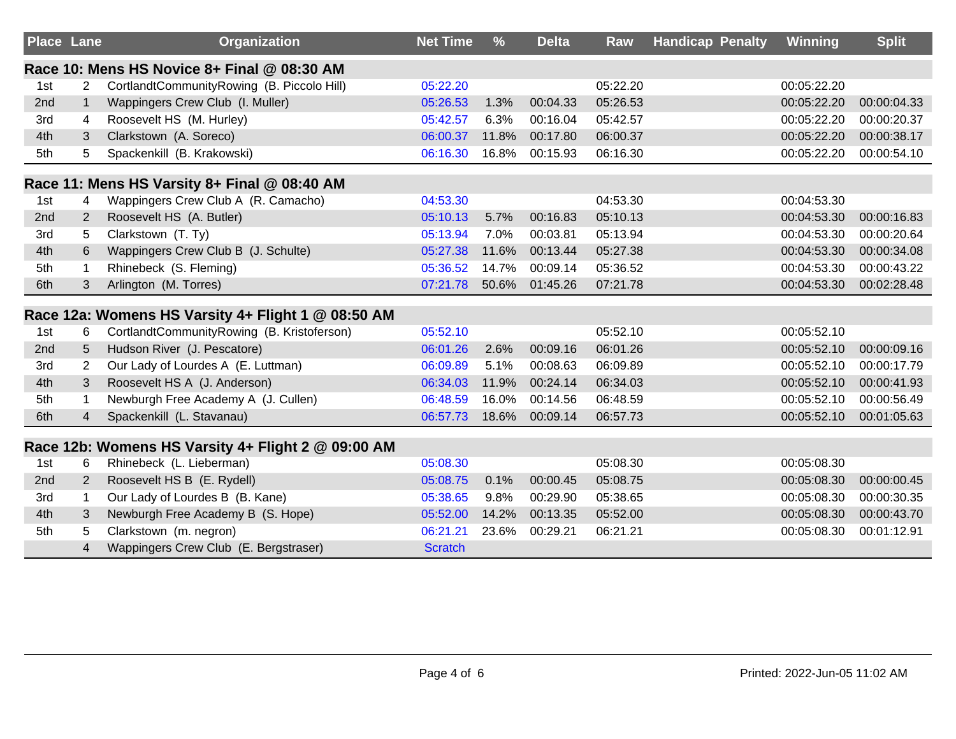| <b>Place Lane</b> |                | <b>Organization</b>                                | <b>Net Time</b> | $\frac{9}{6}$ | <b>Delta</b> | Raw      | <b>Handicap Penalty</b> | <b>Winning</b> | <b>Split</b> |
|-------------------|----------------|----------------------------------------------------|-----------------|---------------|--------------|----------|-------------------------|----------------|--------------|
|                   |                | Race 10: Mens HS Novice 8+ Final @ 08:30 AM        |                 |               |              |          |                         |                |              |
| 1st               | $\overline{2}$ | CortlandtCommunityRowing (B. Piccolo Hill)         | 05:22.20        |               |              | 05:22.20 |                         | 00:05:22.20    |              |
| 2nd               | $\mathbf{1}$   | Wappingers Crew Club (I. Muller)                   | 05:26.53        | 1.3%          | 00:04.33     | 05:26.53 |                         | 00:05:22.20    | 00:00:04.33  |
| 3rd               | 4              | Roosevelt HS (M. Hurley)                           | 05:42.57        | 6.3%          | 00:16.04     | 05:42.57 |                         | 00:05:22.20    | 00:00:20.37  |
| 4th               | 3              | Clarkstown (A. Soreco)                             | 06:00.37        | 11.8%         | 00:17.80     | 06:00.37 |                         | 00:05:22.20    | 00:00:38.17  |
| 5th               | 5              | Spackenkill (B. Krakowski)                         | 06:16.30        | 16.8%         | 00:15.93     | 06:16.30 |                         | 00:05:22.20    | 00:00:54.10  |
|                   |                | Race 11: Mens HS Varsity 8+ Final @ 08:40 AM       |                 |               |              |          |                         |                |              |
| 1st               | 4              | Wappingers Crew Club A (R. Camacho)                | 04:53.30        |               |              | 04:53.30 |                         | 00:04:53.30    |              |
| 2nd               | $\overline{2}$ | Roosevelt HS (A. Butler)                           | 05:10.13        | 5.7%          | 00:16.83     | 05:10.13 |                         | 00:04:53.30    | 00:00:16.83  |
| 3rd               | 5              | Clarkstown (T. Ty)                                 | 05:13.94        | 7.0%          | 00:03.81     | 05:13.94 |                         | 00:04:53.30    | 00:00:20.64  |
| 4th               | 6              | Wappingers Crew Club B (J. Schulte)                | 05:27.38        | 11.6%         | 00:13.44     | 05:27.38 |                         | 00:04:53.30    | 00:00:34.08  |
| 5th               |                | Rhinebeck (S. Fleming)                             | 05:36.52        | 14.7%         | 00:09.14     | 05:36.52 |                         | 00:04:53.30    | 00:00:43.22  |
| 6th               | 3              | Arlington (M. Torres)                              | 07:21.78        | 50.6%         | 01:45.26     | 07:21.78 |                         | 00:04:53.30    | 00:02:28.48  |
|                   |                | Race 12a: Womens HS Varsity 4+ Flight 1 @ 08:50 AM |                 |               |              |          |                         |                |              |
| 1st               | 6              | CortlandtCommunityRowing (B. Kristoferson)         | 05:52.10        |               |              | 05:52.10 |                         | 00:05:52.10    |              |
| 2 <sub>nd</sub>   | 5              | Hudson River (J. Pescatore)                        | 06:01.26        | 2.6%          | 00:09.16     | 06:01.26 |                         | 00:05:52.10    | 00:00:09.16  |
| 3rd               | 2              | Our Lady of Lourdes A (E. Luttman)                 | 06:09.89        | 5.1%          | 00:08.63     | 06:09.89 |                         | 00:05:52.10    | 00:00:17.79  |
| 4th               | 3              | Roosevelt HS A (J. Anderson)                       | 06:34.03        | 11.9%         | 00:24.14     | 06:34.03 |                         | 00:05:52.10    | 00:00:41.93  |
| 5th               |                | Newburgh Free Academy A (J. Cullen)                | 06:48.59        | 16.0%         | 00:14.56     | 06:48.59 |                         | 00:05:52.10    | 00:00:56.49  |
| 6th               | $\overline{4}$ | Spackenkill (L. Stavanau)                          | 06:57.73        | 18.6%         | 00:09.14     | 06:57.73 |                         | 00:05:52.10    | 00:01:05.63  |
|                   |                | Race 12b: Womens HS Varsity 4+ Flight 2 @ 09:00 AM |                 |               |              |          |                         |                |              |
| 1st               | 6              | Rhinebeck (L. Lieberman)                           | 05:08.30        |               |              | 05:08.30 |                         | 00:05:08.30    |              |
| 2nd               | 2              | Roosevelt HS B (E. Rydell)                         | 05:08.75        | 0.1%          | 00:00.45     | 05:08.75 |                         | 00:05:08.30    | 00:00:00.45  |
| 3rd               | 1              | Our Lady of Lourdes B (B. Kane)                    | 05:38.65        | 9.8%          | 00:29.90     | 05:38.65 |                         | 00:05:08.30    | 00:00:30.35  |
| 4th               | 3              | Newburgh Free Academy B (S. Hope)                  | 05:52.00        | 14.2%         | 00:13.35     | 05:52.00 |                         | 00:05:08.30    | 00:00:43.70  |
| 5th               | 5              | Clarkstown (m. negron)                             | 06:21.21        | 23.6%         | 00:29.21     | 06:21.21 |                         | 00:05:08.30    | 00:01:12.91  |
|                   | 4              | Wappingers Crew Club (E. Bergstraser)              | <b>Scratch</b>  |               |              |          |                         |                |              |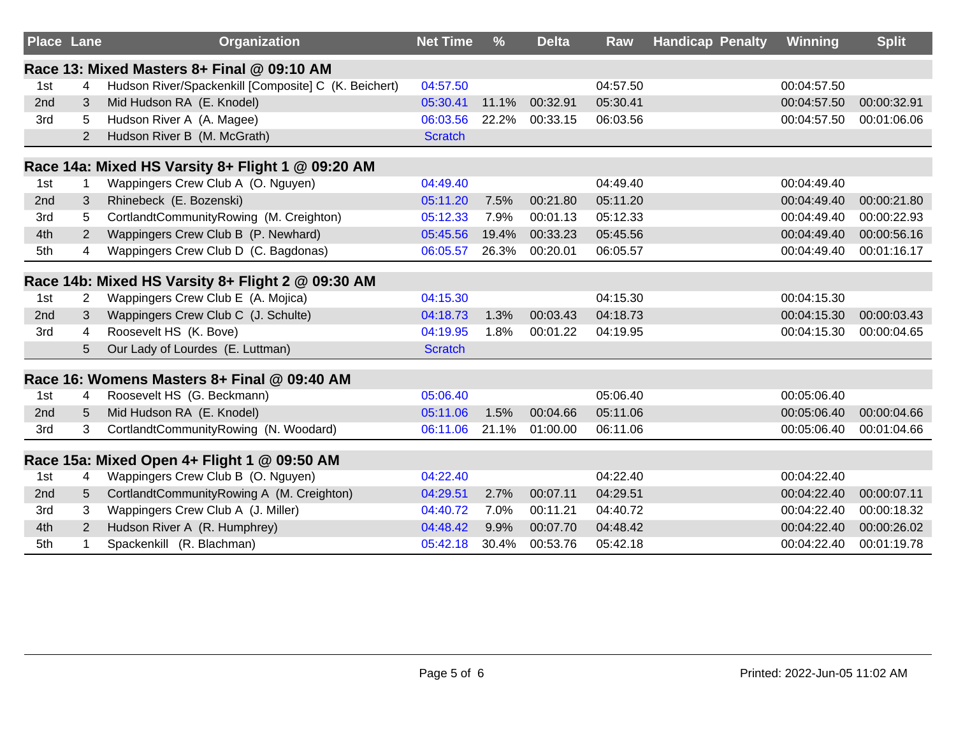| <b>Place Lane</b> |                | Organization                                         | <b>Net Time</b> | $\frac{9}{6}$ | <b>Delta</b> | Raw      | <b>Handicap Penalty</b> | Winning     | <b>Split</b> |
|-------------------|----------------|------------------------------------------------------|-----------------|---------------|--------------|----------|-------------------------|-------------|--------------|
|                   |                | Race 13: Mixed Masters 8+ Final @ 09:10 AM           |                 |               |              |          |                         |             |              |
| 1st               | 4              | Hudson River/Spackenkill [Composite] C (K. Beichert) | 04:57.50        |               |              | 04:57.50 |                         | 00:04:57.50 |              |
| 2nd               | 3              | Mid Hudson RA (E. Knodel)                            | 05:30.41        | 11.1%         | 00:32.91     | 05:30.41 |                         | 00:04:57.50 | 00:00:32.91  |
| 3rd               | 5              | Hudson River A (A. Magee)                            | 06:03.56        | 22.2%         | 00:33.15     | 06:03.56 |                         | 00:04:57.50 | 00:01:06.06  |
|                   | $\overline{2}$ | Hudson River B (M. McGrath)                          | <b>Scratch</b>  |               |              |          |                         |             |              |
|                   |                | Race 14a: Mixed HS Varsity 8+ Flight 1 @ 09:20 AM    |                 |               |              |          |                         |             |              |
| 1st               | 1              | Wappingers Crew Club A (O. Nguyen)                   | 04:49.40        |               |              | 04:49.40 |                         | 00:04:49.40 |              |
| 2nd               | 3              | Rhinebeck (E. Bozenski)                              | 05:11.20        | 7.5%          | 00:21.80     | 05:11.20 |                         | 00:04:49.40 | 00:00:21.80  |
| 3rd               | 5              | CortlandtCommunityRowing (M. Creighton)              | 05:12.33        | 7.9%          | 00:01.13     | 05:12.33 |                         | 00:04:49.40 | 00:00:22.93  |
| 4th               | 2              | Wappingers Crew Club B (P. Newhard)                  | 05:45.56        | 19.4%         | 00:33.23     | 05:45.56 |                         | 00:04:49.40 | 00:00:56.16  |
| 5th               | 4              | Wappingers Crew Club D (C. Bagdonas)                 | 06:05.57        | 26.3%         | 00:20.01     | 06:05.57 |                         | 00:04:49.40 | 00:01:16.17  |
|                   |                | Race 14b: Mixed HS Varsity 8+ Flight 2 @ 09:30 AM    |                 |               |              |          |                         |             |              |
| 1st               | 2              | Wappingers Crew Club E (A. Mojica)                   | 04:15.30        |               |              | 04:15.30 |                         | 00:04:15.30 |              |
| 2nd               | 3              | Wappingers Crew Club C (J. Schulte)                  | 04:18.73        | 1.3%          | 00:03.43     | 04:18.73 |                         | 00:04:15.30 | 00:00:03.43  |
| 3rd               | 4              | Roosevelt HS (K. Bove)                               | 04:19.95        | 1.8%          | 00:01.22     | 04:19.95 |                         | 00:04:15.30 | 00:00:04.65  |
|                   | 5              | Our Lady of Lourdes (E. Luttman)                     | <b>Scratch</b>  |               |              |          |                         |             |              |
|                   |                | Race 16: Womens Masters 8+ Final @ 09:40 AM          |                 |               |              |          |                         |             |              |
| 1st               | 4              | Roosevelt HS (G. Beckmann)                           | 05:06.40        |               |              | 05:06.40 |                         | 00:05:06.40 |              |
| 2nd               | 5              | Mid Hudson RA (E. Knodel)                            | 05:11.06        | 1.5%          | 00:04.66     | 05:11.06 |                         | 00:05:06.40 | 00:00:04.66  |
| 3rd               | 3              | CortlandtCommunityRowing (N. Woodard)                | 06:11.06        | 21.1%         | 01:00.00     | 06:11.06 |                         | 00:05:06.40 | 00:01:04.66  |
|                   |                | Race 15a: Mixed Open 4+ Flight 1 @ 09:50 AM          |                 |               |              |          |                         |             |              |
| 1st               | 4              | Wappingers Crew Club B (O. Nguyen)                   | 04:22.40        |               |              | 04:22.40 |                         | 00:04:22.40 |              |
| 2nd               | 5              | CortlandtCommunityRowing A (M. Creighton)            | 04:29.51        | 2.7%          | 00:07.11     | 04:29.51 |                         | 00:04:22.40 | 00:00:07.11  |
| 3rd               | 3              | Wappingers Crew Club A (J. Miller)                   | 04:40.72        | 7.0%          | 00:11.21     | 04:40.72 |                         | 00:04:22.40 | 00:00:18.32  |
| 4th               | $\overline{2}$ | Hudson River A (R. Humphrey)                         | 04:48.42        | 9.9%          | 00:07.70     | 04:48.42 |                         | 00:04:22.40 | 00:00:26.02  |
| 5th               |                | Spackenkill (R. Blachman)                            | 05:42.18        | 30.4%         | 00:53.76     | 05:42.18 |                         | 00:04:22.40 | 00:01:19.78  |